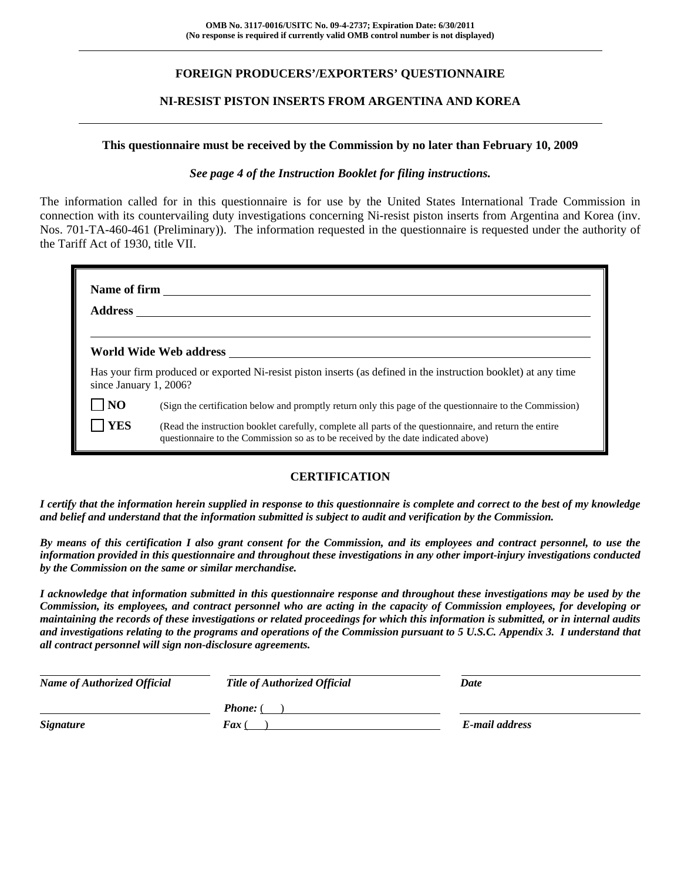## **FOREIGN PRODUCERS'/EXPORTERS' QUESTIONNAIRE**

### **NI-RESIST PISTON INSERTS FROM ARGENTINA AND KOREA**

#### **This questionnaire must be received by the Commission by no later than February 10, 2009**

#### *See page 4 of the Instruction Booklet for filing instructions.*

The information called for in this questionnaire is for use by the United States International Trade Commission in connection with its countervailing duty investigations concerning Ni-resist piston inserts from Argentina and Korea (inv. Nos. 701-TA-460-461 (Preliminary)). The information requested in the questionnaire is requested under the authority of the Tariff Act of 1930, title VII.

| Name of firm           |                                                                                                                                                                                              |  |  |  |
|------------------------|----------------------------------------------------------------------------------------------------------------------------------------------------------------------------------------------|--|--|--|
| <b>Address</b>         |                                                                                                                                                                                              |  |  |  |
|                        |                                                                                                                                                                                              |  |  |  |
|                        | World Wide Web address                                                                                                                                                                       |  |  |  |
| since January 1, 2006? | Has your firm produced or exported Ni-resist piston inserts (as defined in the instruction booklet) at any time                                                                              |  |  |  |
|                        | (Sign the certification below and promptly return only this page of the questionnaire to the Commission)                                                                                     |  |  |  |
| YES                    | (Read the instruction booklet carefully, complete all parts of the questionnaire, and return the entire<br>questionnaire to the Commission so as to be received by the date indicated above) |  |  |  |

# **CERTIFICATION**

*I certify that the information herein supplied in response to this questionnaire is complete and correct to the best of my knowledge and belief and understand that the information submitted is subject to audit and verification by the Commission.* 

*By means of this certification I also grant consent for the Commission, and its employees and contract personnel, to use the information provided in this questionnaire and throughout these investigations in any other import-injury investigations conducted by the Commission on the same or similar merchandise.* 

*I acknowledge that information submitted in this questionnaire response and throughout these investigations may be used by the Commission, its employees, and contract personnel who are acting in the capacity of Commission employees, for developing or maintaining the records of these investigations or related proceedings for which this information is submitted, or in internal audits and investigations relating to the programs and operations of the Commission pursuant to 5 U.S.C. Appendix 3. I understand that all contract personnel will sign non-disclosure agreements.* 

| <b>Name of Authorized Official</b> | <b>Title of Authorized Official</b> | Date           |
|------------------------------------|-------------------------------------|----------------|
|                                    | <b>Phone:</b> (                     |                |
| <b>Signature</b>                   | <b>Fax</b> (                        | E-mail address |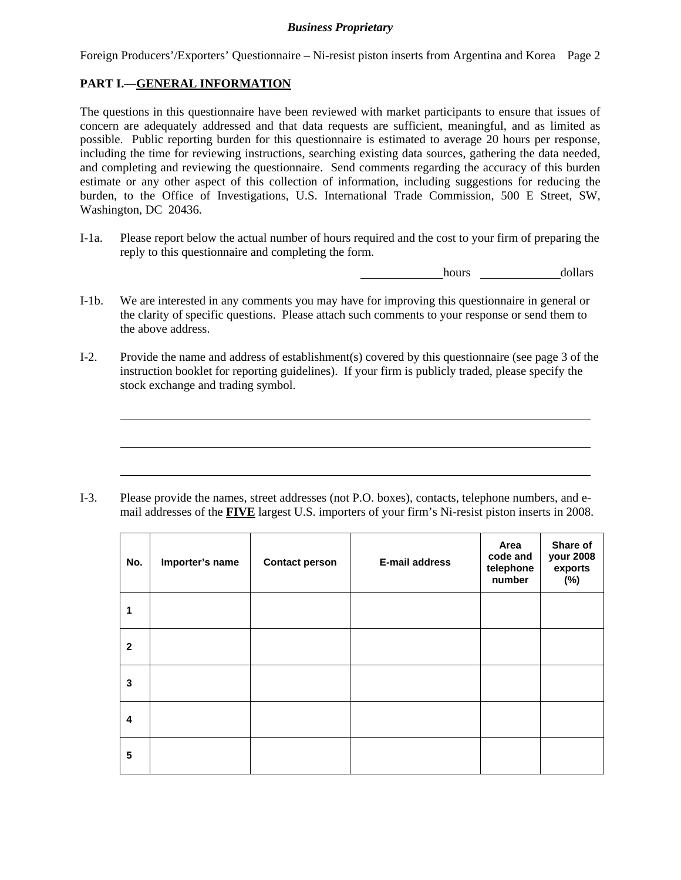Foreign Producers'/Exporters' Questionnaire – Ni-resist piston inserts from Argentina and Korea Page 2

## **PART I.—GENERAL INFORMATION**

 $\overline{a}$ 

 $\overline{a}$ 

 $\overline{a}$ 

The questions in this questionnaire have been reviewed with market participants to ensure that issues of concern are adequately addressed and that data requests are sufficient, meaningful, and as limited as possible. Public reporting burden for this questionnaire is estimated to average 20 hours per response, including the time for reviewing instructions, searching existing data sources, gathering the data needed, and completing and reviewing the questionnaire. Send comments regarding the accuracy of this burden estimate or any other aspect of this collection of information, including suggestions for reducing the burden, to the Office of Investigations, U.S. International Trade Commission, 500 E Street, SW, Washington, DC 20436.

I-1a. Please report below the actual number of hours required and the cost to your firm of preparing the reply to this questionnaire and completing the form.

**hours** dollars

- I-1b. We are interested in any comments you may have for improving this questionnaire in general or the clarity of specific questions. Please attach such comments to your response or send them to the above address.
- I-2. Provide the name and address of establishment(s) covered by this questionnaire (see page 3 of the instruction booklet for reporting guidelines). If your firm is publicly traded, please specify the stock exchange and trading symbol.

I-3. Please provide the names, street addresses (not P.O. boxes), contacts, telephone numbers, and email addresses of the **FIVE** largest U.S. importers of your firm's Ni-resist piston inserts in 2008.

| No.                     | Importer's name | <b>Contact person</b> | E-mail address | Area<br>code and<br>telephone<br>number | Share of<br>your 2008<br>exports<br>$(\%)$ |
|-------------------------|-----------------|-----------------------|----------------|-----------------------------------------|--------------------------------------------|
| $\mathbf{1}$            |                 |                       |                |                                         |                                            |
| $\mathbf{2}$            |                 |                       |                |                                         |                                            |
| 3                       |                 |                       |                |                                         |                                            |
| $\overline{\mathbf{4}}$ |                 |                       |                |                                         |                                            |
| 5                       |                 |                       |                |                                         |                                            |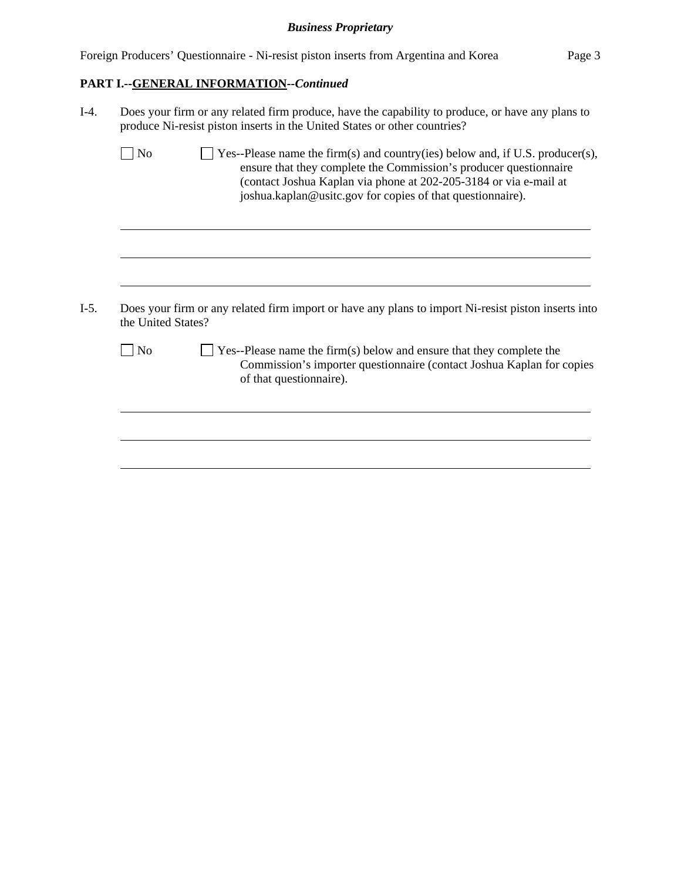Foreign Producers' Questionnaire - Ni-resist piston inserts from Argentina and Korea Page 3

# **PART I.--GENERAL INFORMATION***--Continued*

| $I-4.$ | Does your firm or any related firm produce, have the capability to produce, or have any plans to<br>produce Ni-resist piston inserts in the United States or other countries? |                                                                                                                                                                                                                                                                                       |  |  |  |  |  |
|--------|-------------------------------------------------------------------------------------------------------------------------------------------------------------------------------|---------------------------------------------------------------------------------------------------------------------------------------------------------------------------------------------------------------------------------------------------------------------------------------|--|--|--|--|--|
|        | N <sub>o</sub>                                                                                                                                                                | Yes--Please name the firm(s) and country(ies) below and, if U.S. producer(s),<br>ensure that they complete the Commission's producer questionnaire<br>(contact Joshua Kaplan via phone at 202-205-3184 or via e-mail at<br>joshua.kaplan@usitc.gov for copies of that questionnaire). |  |  |  |  |  |
| $I-5.$ |                                                                                                                                                                               | Does your firm or any related firm import or have any plans to import Ni-resist piston inserts into                                                                                                                                                                                   |  |  |  |  |  |
|        |                                                                                                                                                                               | the United States?                                                                                                                                                                                                                                                                    |  |  |  |  |  |
|        | N <sub>o</sub>                                                                                                                                                                | Yes--Please name the firm(s) below and ensure that they complete the<br>Commission's importer questionnaire (contact Joshua Kaplan for copies<br>of that questionnaire).                                                                                                              |  |  |  |  |  |
|        |                                                                                                                                                                               |                                                                                                                                                                                                                                                                                       |  |  |  |  |  |
|        |                                                                                                                                                                               |                                                                                                                                                                                                                                                                                       |  |  |  |  |  |
|        |                                                                                                                                                                               |                                                                                                                                                                                                                                                                                       |  |  |  |  |  |
|        |                                                                                                                                                                               |                                                                                                                                                                                                                                                                                       |  |  |  |  |  |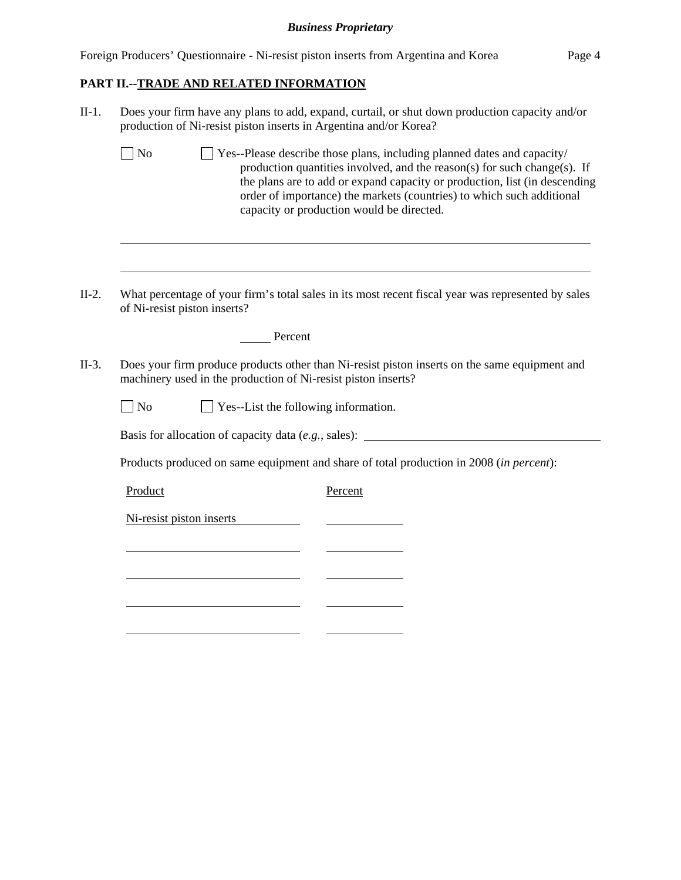Foreign Producers' Questionnaire - Ni-resist piston inserts from Argentina and Korea Page 4

## **PART II.--TRADE AND RELATED INFORMATION**

l

| $II-1.$                                                                          | Does your firm have any plans to add, expand, curtail, or shut down production capacity and/or<br>production of Ni-resist piston inserts in Argentina and/or Korea?                                                                                                                                                                                                  |  |  |  |  |
|----------------------------------------------------------------------------------|----------------------------------------------------------------------------------------------------------------------------------------------------------------------------------------------------------------------------------------------------------------------------------------------------------------------------------------------------------------------|--|--|--|--|
|                                                                                  | $\Box$ No<br>Yes--Please describe those plans, including planned dates and capacity/<br>production quantities involved, and the reason(s) for such change(s). If<br>the plans are to add or expand capacity or production, list (in descending<br>order of importance) the markets (countries) to which such additional<br>capacity or production would be directed. |  |  |  |  |
|                                                                                  |                                                                                                                                                                                                                                                                                                                                                                      |  |  |  |  |
| $II-2.$                                                                          | What percentage of your firm's total sales in its most recent fiscal year was represented by sales<br>of Ni-resist piston inserts?                                                                                                                                                                                                                                   |  |  |  |  |
|                                                                                  | Percent                                                                                                                                                                                                                                                                                                                                                              |  |  |  |  |
| $II-3.$                                                                          | Does your firm produce products other than Ni-resist piston inserts on the same equipment and<br>machinery used in the production of Ni-resist piston inserts?                                                                                                                                                                                                       |  |  |  |  |
|                                                                                  | Yes--List the following information.<br>$ $ No                                                                                                                                                                                                                                                                                                                       |  |  |  |  |
| Basis for allocation of capacity data (e.g., sales): ___________________________ |                                                                                                                                                                                                                                                                                                                                                                      |  |  |  |  |
|                                                                                  | Products produced on same equipment and share of total production in 2008 (in percent):                                                                                                                                                                                                                                                                              |  |  |  |  |
|                                                                                  | Product<br>Percent                                                                                                                                                                                                                                                                                                                                                   |  |  |  |  |
|                                                                                  | Ni-resist piston inserts                                                                                                                                                                                                                                                                                                                                             |  |  |  |  |
|                                                                                  |                                                                                                                                                                                                                                                                                                                                                                      |  |  |  |  |
|                                                                                  |                                                                                                                                                                                                                                                                                                                                                                      |  |  |  |  |
|                                                                                  |                                                                                                                                                                                                                                                                                                                                                                      |  |  |  |  |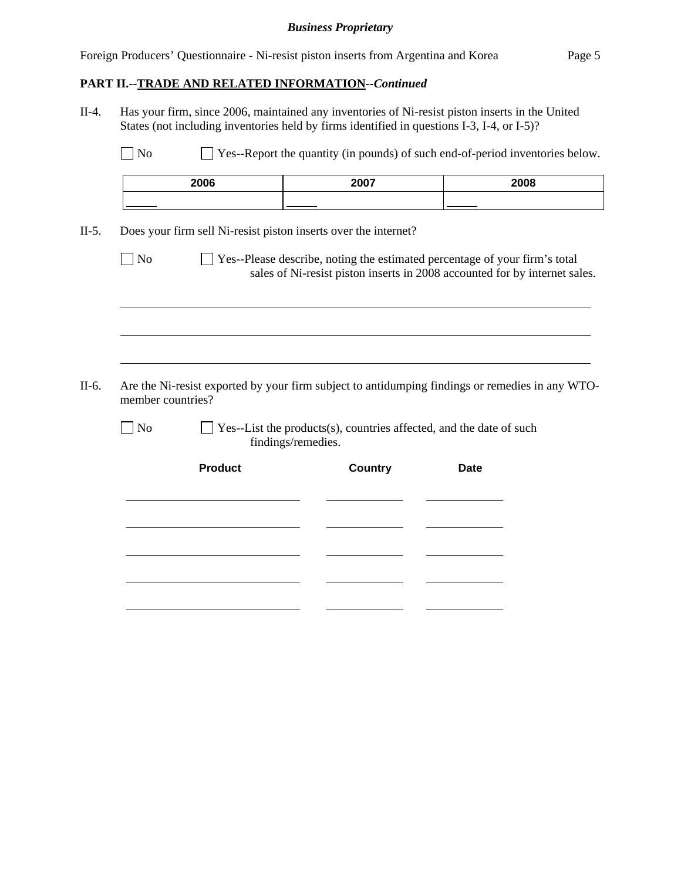Foreign Producers' Questionnaire - Ni-resist piston inserts from Argentina and Korea Page 5

### **PART II.--TRADE AND RELATED INFORMATION***--Continued*

II-4. Has your firm, since 2006, maintained any inventories of Ni-resist piston inserts in the United States (not including inventories held by firms identified in questions I-3, I-4, or I-5)?

No  $\Box$  Yes--Report the quantity (in pounds) of such end-of-period inventories below.

| 2006 | 2007 | 2008 |
|------|------|------|
|      |      |      |

II-5. Does your firm sell Ni-resist piston inserts over the internet?

No Ses--Please describe, noting the estimated percentage of your firm's total sales of Ni-resist piston inserts in 2008 accounted for by internet sales.

II-6. Are the Ni-resist exported by your firm subject to antidumping findings or remedies in any WTOmember countries?

l

 $\overline{a}$ 

 $\overline{a}$ 

 $\Box$  No  $\Box$  Yes--List the products(s), countries affected, and the date of such findings/remedies.

| <b>Product</b> | Country | <b>Date</b> |  |
|----------------|---------|-------------|--|
|                |         |             |  |
|                |         |             |  |
|                |         |             |  |
|                |         |             |  |
|                |         |             |  |
|                |         |             |  |